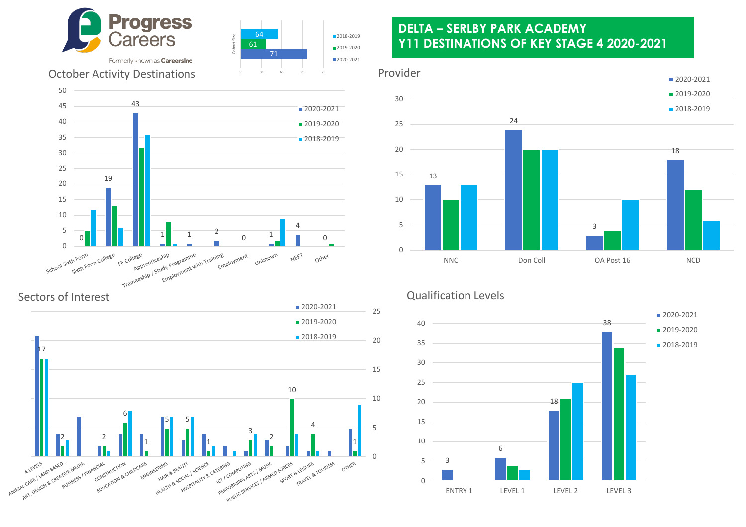





# October Activity Destinations



Sectors of Interest



## **DELTA – SERLBY PARK ACADEMY Y11 DESTINATIONS OF KEY STAGE 4 2020-2021**

#### Provider



## Qualification Levels